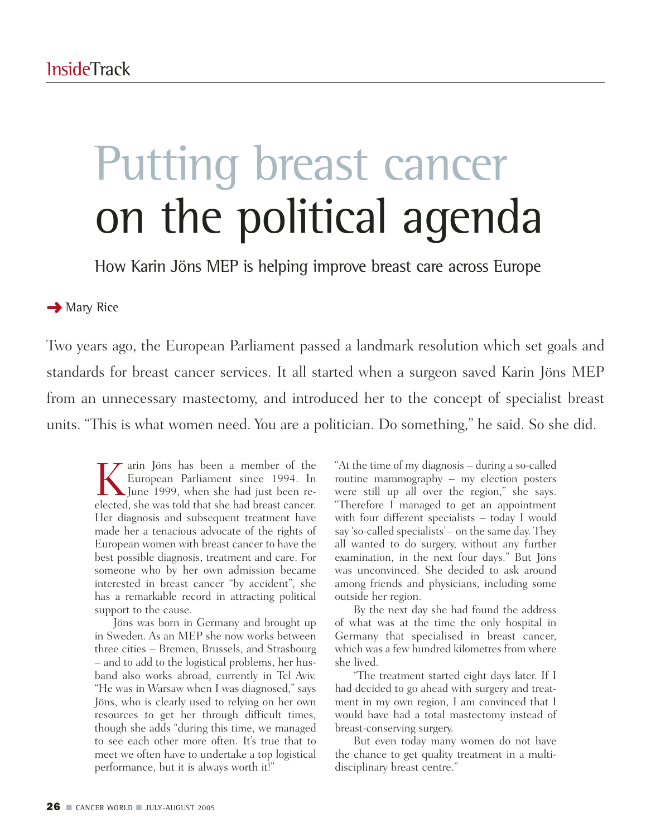## Putting breast cancer on the political agenda

How Karin Jöns MEP is helping improve breast care across Europe

## **→** Mary Rice

Two years ago, the European Parliament passed a landmark resolution which set goals and standards for breast cancer services. It all started when a surgeon saved Karin Jöns MEP from an unnecessary mastectomy, and introduced her to the concept of specialist breast units. "This is what women need. You are a politician. Do something," he said. So she did.

Karin Jöns has been a member of the<br>European Parliament since 1994. In<br>Flume 1999, when she had just been re-European Parliament since 1994. In June 1999, when she had just been reelected, she was told that she had breast cancer. Her diagnosis and subsequent treatment have made her a tenacious advocate of the rights of European women with breast cancer to have the best possible diagnosis, treatment and care. For someone who by her own admission became interested in breast cancer "by accident", she has a remarkable record in attracting political support to the cause.

Jöns was born in Germany and brought up in Sweden. As an MEP she now works between three cities – Bremen, Brussels, and Strasbourg – and to add to the logistical problems, her husband also works abroad, currently in Tel Aviv. "He was in Warsaw when I was diagnosed," says Jöns, who is clearly used to relying on her own resources to get her through difficult times, though she adds "during this time, we managed to see each other more often. It's true that to meet we often have to undertake a top logistical performance, but it is always worth it!"

"At the time of my diagnosis – during a so-called routine mammography – my election posters were still up all over the region," she says. "Therefore I managed to get an appointment with four different specialists – today I would say 'so-called specialists' – on the same day. They all wanted to do surgery, without any further examination, in the next four days." But Jöns was unconvinced. She decided to ask around among friends and physicians, including some outside her region.

By the next day she had found the address of what was at the time the only hospital in Germany that specialised in breast cancer, which was a few hundred kilometres from where she lived.

"The treatment started eight days later. If I had decided to go ahead with surgery and treatment in my own region, I am convinced that I would have had a total mastectomy instead of breast-conserving surgery.

But even today many women do not have the chance to get quality treatment in a multidisciplinary breast centre."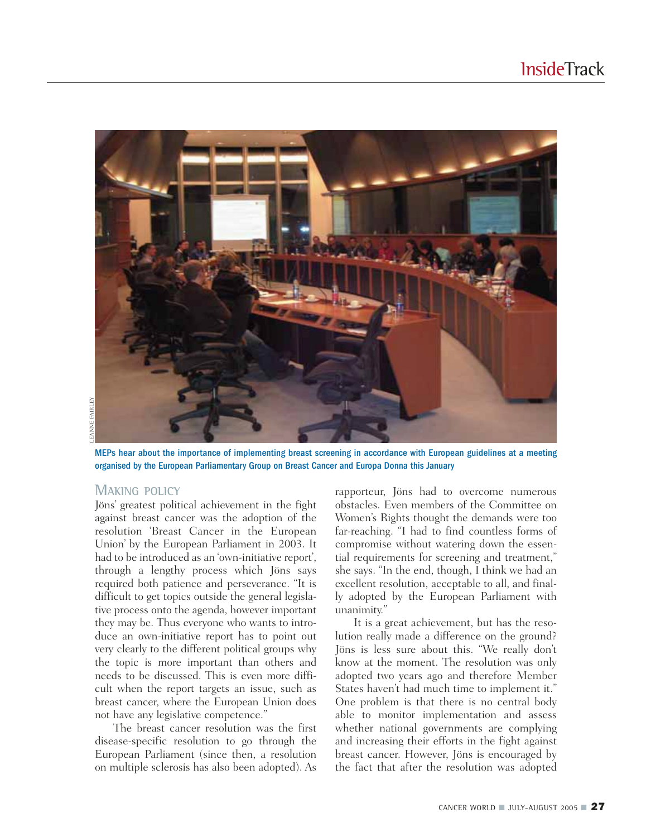

MEPs hear about the importance of implementing breast screening in accordance with European guidelines at a meeting organised by the European Parliamentary Group on Breast Cancer and Europa Donna this January

#### **MAKING POLICY**

Jöns' greatest political achievement in the fight against breast cancer was the adoption of the resolution 'Breast Cancer in the European Union' by the European Parliament in 2003. It had to be introduced as an 'own-initiative report', through a lengthy process which Jöns says required both patience and perseverance. "It is difficult to get topics outside the general legislative process onto the agenda, however important they may be. Thus everyone who wants to introduce an own-initiative report has to point out very clearly to the different political groups why the topic is more important than others and needs to be discussed. This is even more difficult when the report targets an issue, such as breast cancer, where the European Union does not have any legislative competence."

The breast cancer resolution was the first disease-specific resolution to go through the European Parliament (since then, a resolution on multiple sclerosis has also been adopted). As rapporteur, Jöns had to overcome numerous obstacles. Even members of the Committee on Women's Rights thought the demands were too far-reaching. "I had to find countless forms of compromise without watering down the essential requirements for screening and treatment," she says. "In the end, though, I think we had an excellent resolution, acceptable to all, and finally adopted by the European Parliament with unanimity."

It is a great achievement, but has the resolution really made a difference on the ground? Jöns is less sure about this. "We really don't know at the moment. The resolution was only adopted two years ago and therefore Member States haven't had much time to implement it." One problem is that there is no central body able to monitor implementation and assess whether national governments are complying and increasing their efforts in the fight against breast cancer. However, Jöns is encouraged by the fact that after the resolution was adopted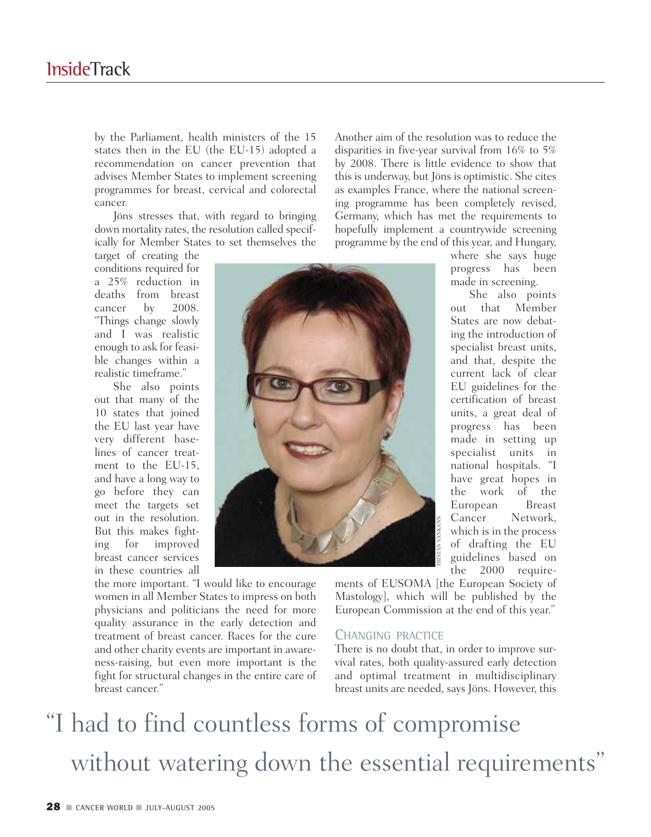by the Parliament, health ministers of the 15 states then in the EU (the EU-15) adopted a recommendation on cancer prevention that advises Member States to implement screening programmes for breast, cervical and colorectal cancer.

Jöns stresses that, with regard to bringing down mortality rates, the resolution called specifically for Member States to set themselves the

target of creating the conditions required for a 25% reduction in deaths from breast cancer by 2008. "Things change slowly and I was realistic enough to ask for feasible changes within a realistic timeframe."

She also points out that many of the 10 states that joined the EU last year have very different baselines of cancer treatment to the EU-15, and have a long way to go before they can meet the targets set out in the resolution. But this makes fighting for improved breast cancer services in these countries all

Another aim of the resolution was to reduce the disparities in five-year survival from 16% to 5% by 2008. There is little evidence to show that this is underway, but Jöns is optimistic. She cites as examples France, where the national screening programme has been completely revised, Germany, which has met the requirements to hopefully implement a countrywide screening programme by the end of this year, and Hungary,

where she says huge progress has been made in screening.

She also points out that Member States are now debating the introduction of specialist breast units, and that, despite the current lack of clear EU guidelines for the certification of breast units, a great deal of progress has been made in setting up specialist units in national hospitals. "I have great hopes in the work of the European Breast Cancer Network, which is in the process of drafting the EU guidelines based on the 2000 require-

the more important. "I would like to encourage women in all Member States to impress on both physicians and politicians the need for more quality assurance in the early detection and treatment of breast cancer. Races for the cure and other charity events are important in awareness-raising, but even more important is the fight for structural changes in the entire care of breast cancer."

ments of EUSOMA [the European Society of Mastology], which will be published by the European Commission at the end of this year."

### **CHANGING PRACTICE**

There is no doubt that, in order to improve survival rates, both quality-assured early detection and optimal treatment in multidisciplinary breast units are needed, says Jöns. However, this

# "I had to find countless forms of compromise out m the resolution. The window is the material which is in the process<br>ing for improved<br>in these countries all<br>in the control of drafting the EU break cancer reeringer. The more important. "I would like to encourage<br>when

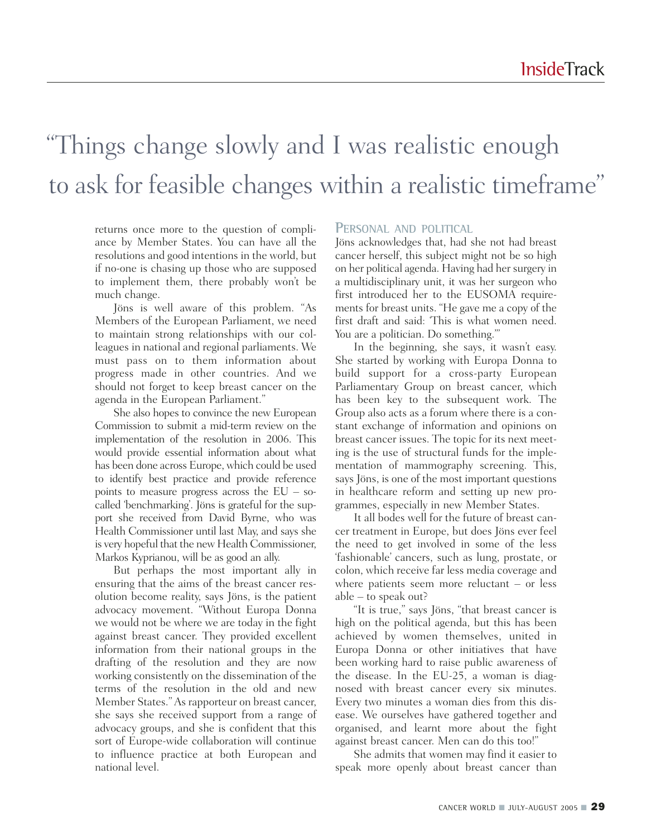## "Things change slowly and I was realistic enough to ask for feasible changes within a realistic timeframe"

returns once more to the question of compliance by Member States. You can have all the resolutions and good intentions in the world, but if no-one is chasing up those who are supposed to implement them, there probably won't be much change.

Jöns is well aware of this problem. "As Members of the European Parliament, we need to maintain strong relationships with our colleagues in national and regional parliaments. We must pass on to them information about progress made in other countries. And we should not forget to keep breast cancer on the agenda in the European Parliament."

She also hopes to convince the new European Commission to submit a mid-term review on the implementation of the resolution in 2006. This would provide essential information about what has been done across Europe, which could be used to identify best practice and provide reference points to measure progress across the  $EU - so$ called 'benchmarking'. Jöns is grateful for the support she received from David Byrne, who was Health Commissioner until last May, and says she is very hopeful that the new Health Commissioner, Markos Kyprianou, will be as good an ally.

But perhaps the most important ally in ensuring that the aims of the breast cancer resolution become reality, says Jöns, is the patient advocacy movement. "Without Europa Donna we would not be where we are today in the fight against breast cancer. They provided excellent information from their national groups in the drafting of the resolution and they are now working consistently on the dissemination of the terms of the resolution in the old and new Member States." As rapporteur on breast cancer, she says she received support from a range of advocacy groups, and she is confident that this sort of Europe-wide collaboration will continue to influence practice at both European and national level.

### **PERSONAL AND POLITICAL**

Jöns acknowledges that, had she not had breast cancer herself, this subject might not be so high on her political agenda. Having had her surgery in a multidisciplinary unit, it was her surgeon who first introduced her to the EUSOMA requirements for breast units. "He gave me a copy of the first draft and said: 'This is what women need. You are a politician. Do something."

In the beginning, she says, it wasn't easy. She started by working with Europa Donna to build support for a cross-party European Parliamentary Group on breast cancer, which has been key to the subsequent work. The Group also acts as a forum where there is a constant exchange of information and opinions on breast cancer issues. The topic for its next meeting is the use of structural funds for the implementation of mammography screening. This, says Jöns, is one of the most important questions in healthcare reform and setting up new programmes, especially in new Member States.

It all bodes well for the future of breast cancer treatment in Europe, but does Jöns ever feel the need to get involved in some of the less 'fashionable' cancers, such as lung, prostate, or colon, which receive far less media coverage and where patients seem more reluctant – or less able – to speak out?

"It is true," says Jöns, "that breast cancer is high on the political agenda, but this has been achieved by women themselves, united in Europa Donna or other initiatives that have been working hard to raise public awareness of the disease. In the EU-25, a woman is diagnosed with breast cancer every six minutes. Every two minutes a woman dies from this disease. We ourselves have gathered together and organised, and learnt more about the fight against breast cancer. Men can do this too!"

She admits that women may find it easier to speak more openly about breast cancer than